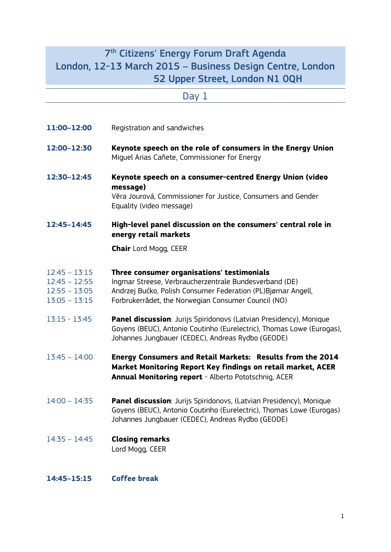# 7 th Citizens' Energy Forum Draft Agenda London, 12-13 March 2015 – Business Design Centre, London 52 Upper Street, London N1 0QH

|                                                                          | Day 1                                                                                                                                                                                                                        |
|--------------------------------------------------------------------------|------------------------------------------------------------------------------------------------------------------------------------------------------------------------------------------------------------------------------|
|                                                                          |                                                                                                                                                                                                                              |
| 11:00-12:00                                                              | Registration and sandwiches                                                                                                                                                                                                  |
| 12:00-12:30                                                              | Keynote speech on the role of consumers in the Energy Union<br>Miquel Arias Cañete, Commissioner for Energy                                                                                                                  |
| 12:30-12:45                                                              | Keynote speech on a consumer-centred Energy Union (video<br>message)<br>Věra Jourová, Commissioner for Justice, Consumers and Gender<br>Equality (video message)                                                             |
| 12:45-14:45                                                              | High-level panel discussion on the consumers' central role in<br>energy retail markets                                                                                                                                       |
|                                                                          | <b>Chair</b> Lord Mogg, CEER                                                                                                                                                                                                 |
| $12:45 - 13:15$<br>$12:45 - 12:55$<br>$12:55 - 13:05$<br>$13:05 - 13:15$ | Three consumer organisations' testimonials<br>Ingmar Streese, Verbraucherzentrale Bundesverband (DE)<br>Andrzej Bućko, Polish Consumer Federation (PL)Bjørnar Angell,<br>Forbrukerrådet, the Norwegian Consumer Council (NO) |
| $13:15 - 13:45$                                                          | <b>Panel discussion</b> : Jurijs Spiridonovs (Latvian Presidency), Monique<br>Goyens (BEUC), Antonio Coutinho (Eurelectric), Thomas Lowe (Eurogas),<br>Johannes Jungbauer (CEDEC), Andreas Rydbo (GEODE)                     |
| $13:45 - 14:00$                                                          | Energy Consumers and Retail Markets: Results from the 2014<br>Market Monitoring Report Key findings on retail market, ACER<br>Annual Monitoring report - Alberto Pototschnig, ACER                                           |
| $14:00 - 14:35$                                                          | <b>Panel discussion</b> : Jurijs Spiridonovs, (Latvian Presidency), Monique<br>Goyens (BEUC), Antonio Coutinho (Eurelectric), Thomas Lowe (Eurogas)<br>Johannes Jungbauer (CEDEC), Andreas Rydbo (GEODE)                     |
| $14:35 - 14:45$                                                          | <b>Closing remarks</b><br>Lord Mogg, CEER                                                                                                                                                                                    |

# **14:45–15:15 Coffee break**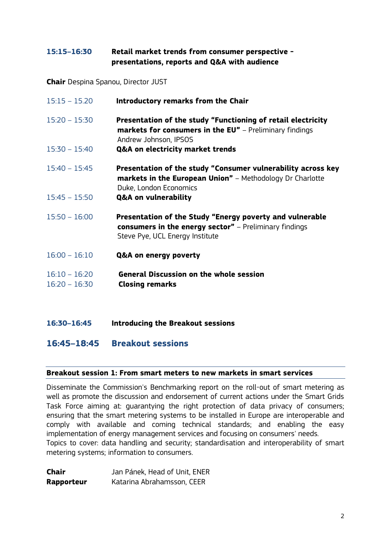## **15:15–16:30 Retail market trends from consumer perspective presentations, reports and Q&A with audience**

**Chair** Despina Spanou, Director JUST

| $15:15 - 15.20$                    | Introductory remarks from the Chair                                                                                                                          |
|------------------------------------|--------------------------------------------------------------------------------------------------------------------------------------------------------------|
| $15:20 - 15:30$                    | Presentation of the study "Functioning of retail electricity<br><b>markets for consumers in the EU"</b> - Preliminary findings<br>Andrew Johnson, IPSOS      |
| $15:30 - 15:40$                    | Q&A on electricity market trends                                                                                                                             |
| $15:40 - 15:45$                    | Presentation of the study "Consumer vulnerability across key<br><b>markets in the European Union"</b> – Methodology Dr Charlotte<br>Duke, London Economics   |
| $15:45 - 15:50$                    | Q&A on vulnerability                                                                                                                                         |
| $15:50 - 16:00$                    | Presentation of the Study "Energy poverty and vulnerable<br><b>consumers in the energy sector"</b> – Preliminary findings<br>Steve Pye, UCL Energy Institute |
| $16:00 - 16:10$                    | Q&A on energy poverty                                                                                                                                        |
| $16:10 - 16:20$<br>$16:20 - 16:30$ | <b>General Discussion on the whole session</b><br><b>Closing remarks</b>                                                                                     |

**16:30–16:45 Introducing the Breakout sessions** 

**16:45–18:45 Breakout sessions**

### **Breakout session 1: From smart meters to new markets in smart services**

Disseminate the Commission's Benchmarking report on the roll-out of smart metering as well as promote the discussion and endorsement of current actions under the Smart Grids Task Force aiming at: guarantying the right protection of data privacy of consumers; ensuring that the smart metering systems to be installed in Europe are interoperable and comply with available and coming technical standards; and enabling the easy implementation of energy management services and focusing on consumers' needs. Topics to cover: data handling and security; standardisation and interoperability of smart metering systems; information to consumers.

| <b>Chair</b> | Jan Pánek, Head of Unit, ENER |
|--------------|-------------------------------|
| Rapporteur   | Katarina Abrahamsson, CEER    |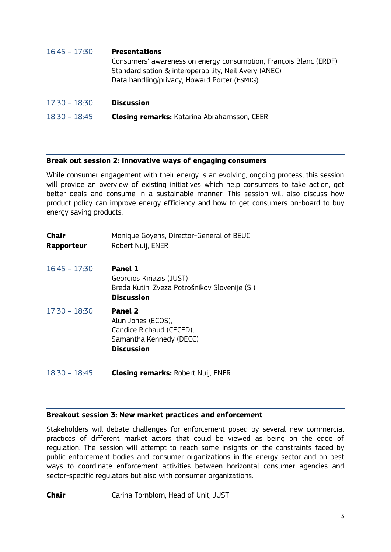| $16:45 - 17:30$ | <b>Presentations</b><br>Consumers' awareness on energy consumption, François Blanc (ERDF)<br>Standardisation & interoperability, Neil Avery (ANEC)<br>Data handling/privacy, Howard Porter (ESMIG) |
|-----------------|----------------------------------------------------------------------------------------------------------------------------------------------------------------------------------------------------|
| $17:30 - 18:30$ | <b>Discussion</b>                                                                                                                                                                                  |

18:30 – 18:45 **Closing remarks:** Katarina Abrahamsson, CEER

#### **Break out session 2: Innovative ways of engaging consumers**

While consumer engagement with their energy is an evolving, ongoing process, this session will provide an overview of existing initiatives which help consumers to take action, get better deals and consume in a sustainable manner. This session will also discuss how product policy can improve energy efficiency and how to get consumers on-board to buy energy saving products.

| Chair<br>Rapporteur | Monique Goyens, Director-General of BEUC<br>Robert Nuij, ENER                                                    |
|---------------------|------------------------------------------------------------------------------------------------------------------|
| $16:45 - 17:30$     | <b>Panel 1</b><br>Georgios Kiriazis (JUST)<br>Breda Kutin, Zveza Potrošnikov Slovenije (SI)<br><b>Discussion</b> |
| $17:30 - 18:30$     | Panel 2<br>Alun Jones (ECOS),<br>Candice Richaud (CECED),<br>Samantha Kennedy (DECC)<br><b>Discussion</b>        |

18:30 – 18:45 **Closing remarks:** Robert Nuij, ENER

#### **Breakout session 3: New market practices and enforcement**

Stakeholders will debate challenges for enforcement posed by several new commercial practices of different market actors that could be viewed as being on the edge of regulation. The session will attempt to reach some insights on the constraints faced by public enforcement bodies and consumer organizations in the energy sector and on best ways to coordinate enforcement activities between horizontal consumer agencies and sector-specific regulators but also with consumer organizations.

```
Chair Carina Tornblom, Head of Unit, JUST
```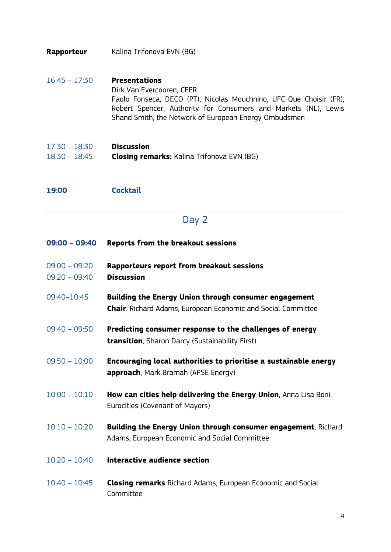- **Rapporteur** Kalina Trifonova EVN (BG)
- 16:45 17:30 **Presentations** Dirk Van Evercooren, CEER Paolo Fonseca, DECO (PT), Nicolas Mouchnino, UFC-Que Choisir (FR), Robert Spencer, Authority for Consumers and Markets (NL), Lewis Shand Smith, the Network of European Energy Ombudsmen
- 17:30 18:30 **Discussion** 18:30 – 18:45 **Closing remarks:** Kalina Trifonova EVN (BG)
- **19:00 Cocktail**
- Day 2

| $09:00 - 09:40$                    | Reports from the breakout sessions                                                                                           |
|------------------------------------|------------------------------------------------------------------------------------------------------------------------------|
| $09:00 - 09:20$<br>$09:20 - 09:40$ | Rapporteurs report from breakout sessions<br><b>Discussion</b>                                                               |
| 09:40-10:45                        | Building the Energy Union through consumer engagement<br><b>Chair:</b> Richard Adams, European Economic and Social Committee |
| $09:40 - 09:50$                    | Predicting consumer response to the challenges of energy<br><b>transition</b> , Sharon Darcy (Sustainability First)          |
| $09:50 - 10:00$                    | Encouraging local authorities to prioritise a sustainable energy<br>approach, Mark Bramah (APSE Energy)                      |
| $10:00 - 10:10$                    | How can cities help delivering the Energy Union, Anna Lisa Boni,<br>Eurocities (Covenant of Mayors)                          |
| $10:10 - 10:20$                    | Building the Energy Union through consumer engagement, Richard<br>Adams, European Economic and Social Committee              |
| $10:20 - 10:40$                    | Interactive audience section                                                                                                 |
| $10:40 - 10:45$                    | <b>Closing remarks</b> Richard Adams, European Economic and Social<br>Committee                                              |